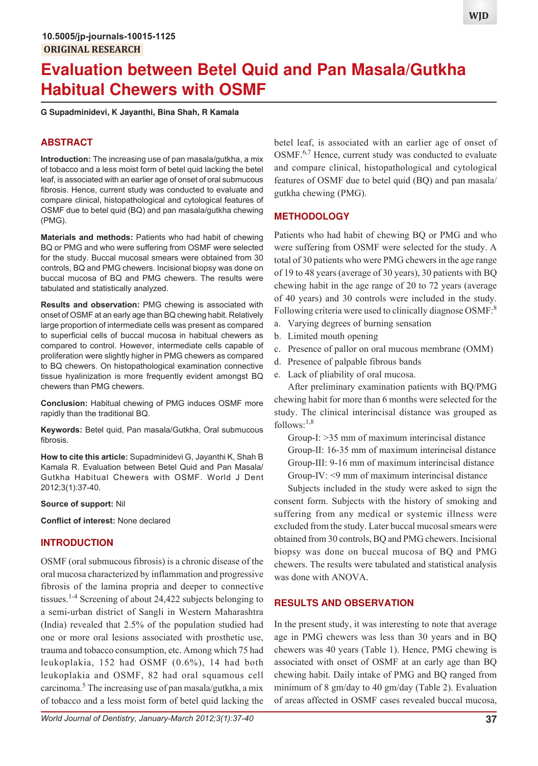# **Evaluation between Betel Quid and Pan Masala/Gutkha Habitual Chewers with OSMF**

**G Supadminidevi, K Jayanthi, Bina Shah, R Kamala**

## **ABSTRACT**

**Introduction:** The increasing use of pan masala/gutkha, a mix of tobacco and a less moist form of betel quid lacking the betel leaf, is associated with an earlier age of onset of oral submucous fibrosis. Hence, current study was conducted to evaluate and compare clinical, histopathological and cytological features of OSMF due to betel quid (BQ) and pan masala/gutkha chewing (PMG).

**Materials and methods:** Patients who had habit of chewing BQ or PMG and who were suffering from OSMF were selected for the study. Buccal mucosal smears were obtained from 30 controls, BQ and PMG chewers. Incisional biopsy was done on buccal mucosa of BQ and PMG chewers. The results were tabulated and statistically analyzed.

**Results and observation:** PMG chewing is associated with onset of OSMF at an early age than BQ chewing habit. Relatively large proportion of intermediate cells was present as compared to superficial cells of buccal mucosa in habitual chewers as compared to control. However, intermediate cells capable of proliferation were slightly higher in PMG chewers as compared to BQ chewers. On histopathological examination connective tissue hyalinization is more frequently evident amongst BQ chewers than PMG chewers.

**Conclusion:** Habitual chewing of PMG induces OSMF more rapidly than the traditional BQ.

**Keywords:** Betel quid, Pan masala/Gutkha, Oral submucous fibrosis.

**How to cite this article:** Supadminidevi G, Jayanthi K, Shah B Kamala R. Evaluation between Betel Quid and Pan Masala/ Gutkha Habitual Chewers with OSMF. World J Dent 2012;3(1):37-40.

#### **Source of support:** Nil

**Conflict of interest:** None declared

## **INTRODUCTION**

OSMF (oral submucous fibrosis) is a chronic disease of the oral mucosa characterized by inflammation and progressive fibrosis of the lamina propria and deeper to connective tissues.<sup>1-4</sup> Screening of about 24,422 subjects belonging to a semi-urban district of Sangli in Western Maharashtra (India) revealed that 2.5% of the population studied had one or more oral lesions associated with prosthetic use, trauma and tobacco consumption, etc. Among which 75 had leukoplakia, 152 had OSMF (0.6%), 14 had both leukoplakia and OSMF, 82 had oral squamous cell carcinoma.<sup>5</sup> The increasing use of pan masala/gutkha, a mix of tobacco and a less moist form of betel quid lacking the

betel leaf, is associated with an earlier age of onset of OSMF.<sup>6,7</sup> Hence, current study was conducted to evaluate and compare clinical, histopathological and cytological features of OSMF due to betel quid (BQ) and pan masala/ gutkha chewing (PMG).

#### **METHODOLOGY**

Patients who had habit of chewing BQ or PMG and who were suffering from OSMF were selected for the study. A total of 30 patients who were PMG chewers in the age range of 19 to 48 years (average of 30 years), 30 patients with BQ chewing habit in the age range of 20 to 72 years (average of 40 years) and 30 controls were included in the study. Following criteria were used to clinically diagnose OSMF:<sup>8</sup>

- a. Varying degrees of burning sensation
- b. Limited mouth opening
- c. Presence of pallor on oral mucous membrane (OMM)
- d. Presence of palpable fibrous bands
- e. Lack of pliability of oral mucosa.

After preliminary examination patients with BQ/PMG chewing habit for more than 6 months were selected for the study. The clinical interincisal distance was grouped as follows: $1,8$ 

Group-I: >35 mm of maximum interincisal distance Group-II: 16-35 mm of maximum interincisal distance Group-III: 9-16 mm of maximum interincisal distance Group-IV: <9 mm of maximum interincisal distance

Subjects included in the study were asked to sign the consent form. Subjects with the history of smoking and suffering from any medical or systemic illness were excluded from the study. Later buccal mucosal smears were obtained from 30 controls, BQ and PMG chewers. Incisional biopsy was done on buccal mucosa of BQ and PMG chewers. The results were tabulated and statistical analysis was done with ANOVA.

## **RESULTS AND OBSERVATION**

In the present study, it was interesting to note that average age in PMG chewers was less than 30 years and in BQ chewers was 40 years (Table 1). Hence, PMG chewing is associated with onset of OSMF at an early age than BQ chewing habit. Daily intake of PMG and BQ ranged from minimum of 8 gm/day to 40 gm/day (Table 2). Evaluation of areas affected in OSMF cases revealed buccal mucosa,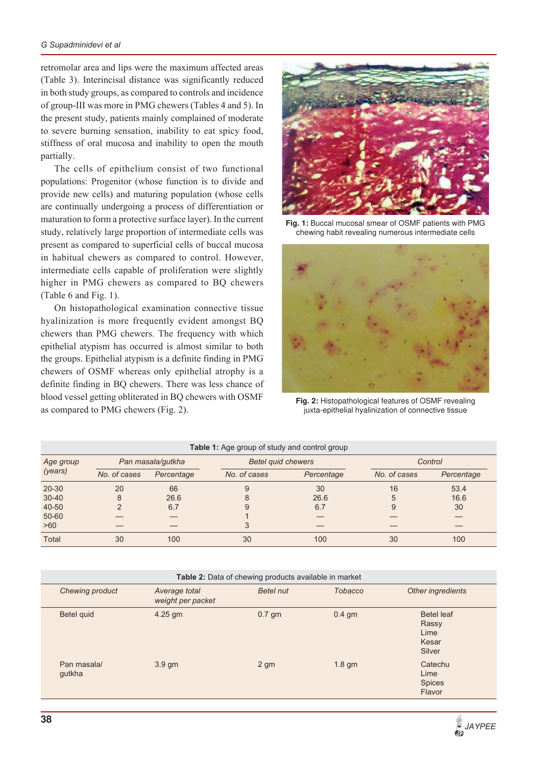retromolar area and lips were the maximum affected areas (Table 3). Interincisal distance was significantly reduced in both study groups, as compared to controls and incidence of group-III was more in PMG chewers (Tables 4 and 5). In the present study, patients mainly complained of moderate to severe burning sensation, inability to eat spicy food, stiffness of oral mucosa and inability to open the mouth partially.

The cells of epithelium consist of two functional populations: Progenitor (whose function is to divide and provide new cells) and maturing population (whose cells are continually undergoing a process of differentiation or maturation to form a protective surface layer). In the current study, relatively large proportion of intermediate cells was present as compared to superficial cells of buccal mucosa in habitual chewers as compared to control. However, intermediate cells capable of proliferation were slightly higher in PMG chewers as compared to BQ chewers (Table 6 and Fig. 1).

On histopathological examination connective tissue hyalinization is more frequently evident amongst BQ chewers than PMG chewers. The frequency with which epithelial atypism has occurred is almost similar to both the groups. Epithelial atypism is a definite finding in PMG chewers of OSMF whereas only epithelial atrophy is a definite finding in BQ chewers. There was less chance of blood vessel getting obliterated in BQ chewers with OSMF as compared to PMG chewers (Fig. 2).



**Fig. 1:** Buccal mucosal smear of OSMF patients with PMG chewing habit revealing numerous intermediate cells



**Fig. 2:** Histopathological features of OSMF revealing juxta-epithelial hyalinization of connective tissue

| Table 1: Age group of study and control group |                   |            |                           |            |              |            |  |
|-----------------------------------------------|-------------------|------------|---------------------------|------------|--------------|------------|--|
| Age group                                     | Pan masala/gutkha |            | <b>Betel quid chewers</b> |            | Control      |            |  |
| (years)                                       | No. of cases      | Percentage | No. of cases              | Percentage | No. of cases | Percentage |  |
| $20 - 30$                                     | 20                | 66         | 9                         | 30         | 16           | 53.4       |  |
| $30 - 40$                                     | 8                 | 26.6       | 8                         | 26.6       | 5            | 16.6       |  |
| 40-50                                         |                   | 6.7        | 9                         | 6.7        | 9            | 30         |  |
| $50 - 60$                                     |                   |            |                           |            |              |            |  |
| >60                                           |                   |            |                           |            |              |            |  |
| <b>Total</b>                                  | 30                | 100        | 30                        | 100        | 30           | 100        |  |

| Table 2: Data of chewing products available in market |                                    |                 |                |                                                |  |  |  |
|-------------------------------------------------------|------------------------------------|-----------------|----------------|------------------------------------------------|--|--|--|
| Chewing product                                       | Average total<br>weight per packet | Betel nut       | <b>Tobacco</b> | Other ingredients                              |  |  |  |
| Betel quid                                            | $4.25$ gm                          | $0.7$ gm        | $0.4$ gm       | Betel leaf<br>Rassy<br>Lime<br>Kesar<br>Silver |  |  |  |
| Pan masala/<br>gutkha                                 | $3.9 \text{ gm}$                   | 2 <sub>gm</sub> | $1.8$ gm       | Catechu<br>Lime<br>Spices<br>Flavor            |  |  |  |

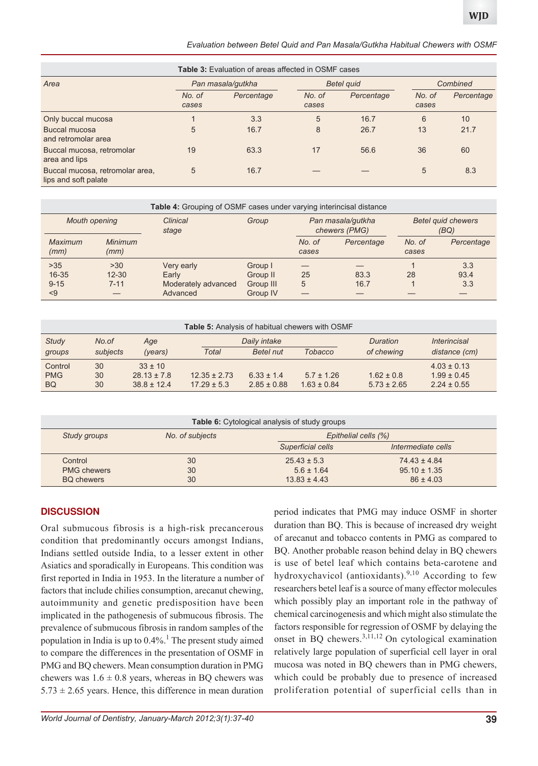*Evaluation between Betel Quid and Pan Masala/Gutkha Habitual Chewers with OSMF*

| <b>Table 3:</b> Evaluation of areas affected in OSMF cases |                   |            |                   |            |                 |            |
|------------------------------------------------------------|-------------------|------------|-------------------|------------|-----------------|------------|
| Area                                                       | Pan masala/gutkha |            | <b>Betel quid</b> |            | Combined        |            |
|                                                            | No. of<br>cases   | Percentage | No. of<br>cases   | Percentage | No. of<br>cases | Percentage |
| Only buccal mucosa                                         |                   | 3.3        | 5                 | 16.7       | 6               | 10         |
| Buccal mucosa<br>and retromolar area                       | 5                 | 16.7       | 8                 | 26.7       | 13              | 21.7       |
| Buccal mucosa, retromolar<br>area and lips                 | 19                | 63.3       | 17                | 56.6       | 36              | 60         |
| Buccal mucosa, retromolar area,<br>lips and soft palate    | 5                 | 16.7       |                   |            | 5               | 8.3        |

| Table 4: Grouping of OSMF cases under varying interincisal distance |                        |                     |           |                                    |            |                                   |            |
|---------------------------------------------------------------------|------------------------|---------------------|-----------|------------------------------------|------------|-----------------------------------|------------|
| <b>Mouth opening</b>                                                |                        | Clinical<br>stage   | Group     | Pan masala/gutkha<br>chewers (PMG) |            | <b>Betel quid chewers</b><br>(BQ) |            |
| Maximum<br>(mm)                                                     | <b>Minimum</b><br>(mm) |                     |           | No. of<br>cases                    | Percentage | No. of<br>cases                   | Percentage |
| $>35$                                                               | >30                    | Very early          | Group I   |                                    |            |                                   | 3.3        |
| $16 - 35$                                                           | $12 - 30$              | Early               | Group II  | 25                                 | 83.3       | 28                                | 93.4       |
| $9 - 15$                                                            | $7 - 11$               | Moderately advanced | Group III | 5                                  | 16.7       |                                   | 3.3        |
| $\leq$ 9                                                            |                        | Advanced            | Group IV  |                                    |            |                                   |            |

| <b>Table 5:</b> Analysis of habitual chewers with OSMF |          |                 |                  |                  |                 |                 |                            |
|--------------------------------------------------------|----------|-----------------|------------------|------------------|-----------------|-----------------|----------------------------|
| <b>Study</b>                                           | No.of    | Age             |                  | Daily intake     |                 | Duration        | <i><b>Interincisal</b></i> |
| groups                                                 | subjects | (years)         | Total            | <b>Betel nut</b> | <b>Tobacco</b>  | of chewing      | distance (cm)              |
| Control                                                | 30       | $33 \pm 10$     |                  |                  |                 |                 | $4.03 \pm 0.13$            |
| <b>PMG</b>                                             | 30       | $28.13 \pm 7.8$ | $12.35 \pm 2.73$ | $6.33 \pm 1.4$   | $5.7 \pm 1.26$  | $1.62 \pm 0.8$  | $1.99 \pm 0.45$            |
| <b>BQ</b>                                              | 30       | $38.8 \pm 12.4$ | $17.29 \pm 5.3$  | $2.85 \pm 0.88$  | $1.63 \pm 0.84$ | $5.73 \pm 2.65$ | $2.24 \pm 0.55$            |

| Table 6: Cytological analysis of study groups |                                         |                   |                    |  |  |  |  |
|-----------------------------------------------|-----------------------------------------|-------------------|--------------------|--|--|--|--|
| Study groups                                  | Epithelial cells (%)<br>No. of subjects |                   |                    |  |  |  |  |
|                                               |                                         | Superficial cells | Intermediate cells |  |  |  |  |
| Control                                       | 30                                      | $25.43 \pm 5.3$   | $74.43 \pm 4.84$   |  |  |  |  |
| <b>PMG chewers</b>                            | 30                                      | $5.6 \pm 1.64$    | $95.10 \pm 1.35$   |  |  |  |  |
| <b>BQ chewers</b>                             | 30                                      | $13.83 \pm 4.43$  | $86 \pm 4.03$      |  |  |  |  |

## **DISCUSSION**

Oral submucous fibrosis is a high-risk precancerous condition that predominantly occurs amongst Indians, Indians settled outside India, to a lesser extent in other Asiatics and sporadically in Europeans. This condition was first reported in India in 1953. In the literature a number of factors that include chilies consumption, arecanut chewing, autoimmunity and genetic predisposition have been implicated in the pathogenesis of submucous fibrosis. The prevalence of submucous fibrosis in random samples of the population in India is up to 0.4%.<sup>1</sup> The present study aimed to compare the differences in the presentation of OSMF in PMG and BQ chewers. Mean consumption duration in PMG chewers was  $1.6 \pm 0.8$  years, whereas in BQ chewers was  $5.73 \pm 2.65$  years. Hence, this difference in mean duration

period indicates that PMG may induce OSMF in shorter duration than BQ. This is because of increased dry weight of arecanut and tobacco contents in PMG as compared to BQ. Another probable reason behind delay in BQ chewers is use of betel leaf which contains beta-carotene and hydroxychavicol (antioxidants). $9,10$  According to few researchers betel leaf is a source of many effector molecules which possibly play an important role in the pathway of chemical carcinogenesis and which might also stimulate the factors responsible for regression of OSMF by delaying the onset in BQ chewers.3,11,12 On cytological examination relatively large population of superficial cell layer in oral mucosa was noted in BQ chewers than in PMG chewers, which could be probably due to presence of increased proliferation potential of superficial cells than in